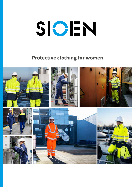# SIOEN

## **Protective clothing for women**

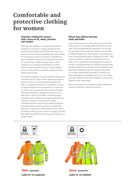## Comfortable and protective clothing for women

#### **Protective clothing for women : with a focus on fit, safety, function and comfort.**

Although the workforce is predominantly male in fields like construction, energy, (petro)chemical and the steel industry, you will find more and more women at work in these industries. But unfortunately, for a long time women's workwear was limited to men's workwear and that is just not quite the same. As women have a different body shape, men's clothing is just not that comfortable for women. Sioen therefore decided to focus on the needs of women in the industry: protective workwear that is fitted to their shape.

The perfect examples of such protective clothing are the Kasie and the Lesha. These jacket and trousers protect women in a comfortable way against the risks of an electrical flashover. The primary concern for people that have been exposed to an electrical arc flash is very serious skin burns due to the high amount of heat that is set free during such an arc flash. But in order for the PPE to be effective the clothing needs to fit because inappropriate PPE can impact on a person's work and their safety. The Kasie and the Lesha are the perfect protective clothing for those power women who stand their ground in a hazardous working environment. If the protective clothing doesn't need to comply to the EN ISO 20471 standard then the Oroya and Casma are a perfect match.

### **Where form follows function: Vaski and Heika**

If you need to go out on rainy days you do not want to get wet. So a rain proof jacket should do the trick, right? Yes, provided that the jacket fits. If it's too big you get gaps and you get wet. Taking a product that is initially designed for men and then reducing its size does not necessarily make it suitable for women. That is why the Vaski, a multi-norm rain jacket, and the Talia, a hi-vis rain jacket, are designed by women for women. During the design not only the female shape has been taken into account but a lot of attention was also paid to delicate areas like pockets and seams so no water penetration is possible. Thanks to our Interchangeable Lining System (I.L.S.) you can easily zip in the softshell Heika (in the Vaski) or Jerica (in the Talia) for those colder days.

Sioen is working hard on designing safe, stylish and practical protective clothing for women.





*Talia - 546AA2EU1* **Ladies hi-vis rainjacket**





*Jerica - 547AA2TU2* **Ladies hi-vis softshell**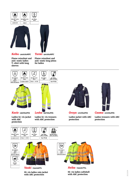





*Keibu - 502AA2MPC*

*Tormi - 501AA2MPC*

**Flame retardant and anti-static ladies T-shirt with long sleeves**

**Flame retardant and anti-static long johns for ladies**

EN 1149-5

EN 13034:<br>2005 + A1:200





*Kasie - 066VA2PFA*

**Ladies hi-vis jacket with ARC protection**

**Ladies hi-vis trousers with ARC protection**



*Oroya - 072VA2PFA*

**Ladies jacket with ARC protection**



*Casma - 073VA2PFA*

**Ladies trousers with ARC protection**







*Vaski - 7331A2ET2*

**Hi-vis ladies rain jacket with ARC protection**



*Heika - 7332A2TV4* **Hi-vis ladies softshell with ARC protection**